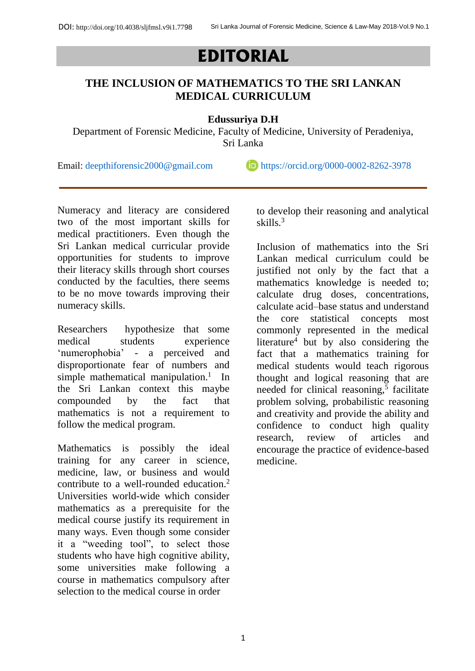## **EDITORIAL**

## **THE INCLUSION OF MATHEMATICS TO THE SRI LANKAN MEDICAL CURRICULUM**

**Edussuriya D.H**

Department of Forensic Medicine, Faculty of Medicine, University of Peradeniya, Sri Lanka

Email: [deepthiforensic2000@gmail.com](mailto:deepthiforensic2000@gmail.com)  $\Box$  <https://orcid.org/0000-0002-8262-3978>

Numeracy and literacy are considered two of the most important skills for medical practitioners. Even though the Sri Lankan medical curricular provide opportunities for students to improve their literacy skills through short courses conducted by the faculties, there seems to be no move towards improving their numeracy skills.

Researchers hypothesize that some medical students experience 'numerophobia' - a perceived and disproportionate fear of numbers and simple mathematical manipulation.<sup>1</sup> In the Sri Lankan context this maybe compounded by the fact that mathematics is not a requirement to follow the medical program.

Mathematics is possibly the ideal training for any career in science, medicine, law, or business and would contribute to a well-rounded education.<sup>2</sup> Universities world-wide which consider mathematics as a prerequisite for the medical course justify its requirement in many ways. Even though some consider it a "weeding tool", to select those students who have high cognitive ability, some universities make following a course in mathematics compulsory after selection to the medical course in order

to develop their reasoning and analytical skills.<sup>3</sup>

Inclusion of mathematics into the Sri Lankan medical curriculum could be justified not only by the fact that a mathematics knowledge is needed to; calculate drug doses, concentrations, calculate acid–base status and understand the core statistical concepts most commonly represented in the medical literature<sup>4</sup> but by also considering the fact that a mathematics training for medical students would teach rigorous thought and logical reasoning that are needed for clinical reasoning,<sup>5</sup> facilitate problem solving, probabilistic reasoning and creativity and provide the ability and confidence to conduct high quality research, review of articles and encourage the practice of evidence-based medicine.